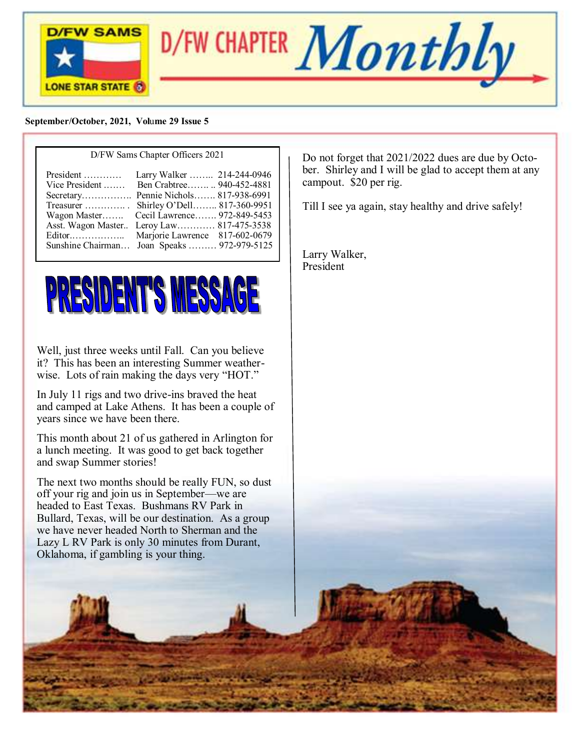



#### **September/October, 2021, Vol**u**me 29 Issue 5**

#### D/FW Sams Chapter Officers 2021



Well, just three weeks until Fall. Can you believe it? This has been an interesting Summer weatherwise. Lots of rain making the days very "HOT."

In July 11 rigs and two drive-ins braved the heat and camped at Lake Athens. It has been a couple of years since we have been there.

This month about 21 of us gathered in Arlington for a lunch meeting. It was good to get back together and swap Summer stories!

The next two months should be really FUN, so dust off your rig and join us in September—we are headed to East Texas. Bushmans RV Park in Bullard, Texas, will be our destination. As a group we have never headed North to Sherman and the Lazy L RV Park is only 30 minutes from Durant, Oklahoma, if gambling is your thing.

Do not forget that 2021/2022 dues are due by October. Shirley and I will be glad to accept them at any campout. \$20 per rig.

Till I see ya again, stay healthy and drive safely!

Larry Walker, President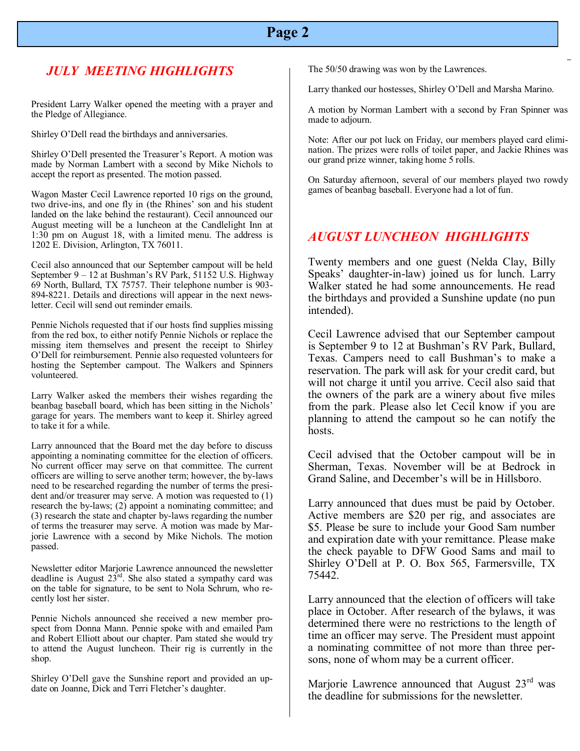# **Page 2**

### *JULY MEETING HIGHLIGHTS*

President Larry Walker opened the meeting with a prayer and the Pledge of Allegiance.

Shirley O'Dell read the birthdays and anniversaries.

Shirley O'Dell presented the Treasurer's Report. A motion was made by Norman Lambert with a second by Mike Nichols to accept the report as presented. The motion passed.

Wagon Master Cecil Lawrence reported 10 rigs on the ground, two drive-ins, and one fly in (the Rhines' son and his student landed on the lake behind the restaurant). Cecil announced our August meeting will be a luncheon at the Candlelight Inn at 1:30 pm on August 18, with a limited menu. The address is 1202 E. Division, Arlington, TX 76011.

Cecil also announced that our September campout will be held September 9 – 12 at Bushman's RV Park, 51152 U.S. Highway 69 North, Bullard, TX 75757. Their telephone number is 903- 894-8221. Details and directions will appear in the next newsletter. Cecil will send out reminder emails.

Pennie Nichols requested that if our hosts find supplies missing from the red box, to either notify Pennie Nichols or replace the missing item themselves and present the receipt to Shirley O'Dell for reimbursement. Pennie also requested volunteers for hosting the September campout. The Walkers and Spinners volunteered.

Larry Walker asked the members their wishes regarding the beanbag baseball board, which has been sitting in the Nichols' garage for years. The members want to keep it. Shirley agreed to take it for a while.

Larry announced that the Board met the day before to discuss appointing a nominating committee for the election of officers. No current officer may serve on that committee. The current officers are willing to serve another term; however, the by-laws need to be researched regarding the number of terms the president and/or treasurer may serve. A motion was requested to (1) research the by-laws; (2) appoint a nominating committee; and (3) research the state and chapter by-laws regarding the number of terms the treasurer may serve. A motion was made by Marjorie Lawrence with a second by Mike Nichols. The motion passed.

Newsletter editor Marjorie Lawrence announced the newsletter deadline is August  $23<sup>rd</sup>$ . She also stated a sympathy card was on the table for signature, to be sent to Nola Schrum, who recently lost her sister.

Pennie Nichols announced she received a new member prospect from Donna Mann. Pennie spoke with and emailed Pam and Robert Elliott about our chapter. Pam stated she would try to attend the August luncheon. Their rig is currently in the shop.

Shirley O'Dell gave the Sunshine report and provided an update on Joanne, Dick and Terri Fletcher's daughter.

The 50/50 drawing was won by the Lawrences.

Larry thanked our hostesses, Shirley O'Dell and Marsha Marino.

A motion by No<br>made to adjourn.  A motion by Norman Lambert with a second by Fran Spinner was

Note: After our pot luck on Friday, our members played card elimination. The prizes were rolls of toilet paper, and Jackie Rhines was our grand prize winner, taking home 5 rolls.

On Saturday afternoon, several of our members played two rowdy games of beanbag baseball. Everyone had a lot of fun.

#### *AUGUST LUNCHEON HIGHLIGHTS*

Twenty members and one guest (Nelda Clay, Billy Speaks' daughter-in-law) joined us for lunch. Larry Walker stated he had some announcements. He read the birthdays and provided a Sunshine update (no pun intended).

Cecil Lawrence advised that our September campout is September 9 to 12 at Bushman's RV Park, Bullard, Texas. Campers need to call Bushman's to make a reservation. The park will ask for your credit card, but will not charge it until you arrive. Cecil also said that the owners of the park are a winery about five miles from the park. Please also let Cecil know if you are planning to attend the campout so he can notify the hosts.

Cecil advised that the October campout will be in Sherman, Texas. November will be at Bedrock in Grand Saline, and December's will be in Hillsboro.

Larry announced that dues must be paid by October. Active members are \$20 per rig, and associates are \$5. Please be sure to include your Good Sam number and expiration date with your remittance. Please make the check payable to DFW Good Sams and mail to Shirley O'Dell at P. O. Box 565, Farmersville, TX 75442.

Larry announced that the election of officers will take place in October. After research of the bylaws, it was determined there were no restrictions to the length of time an officer may serve. The President must appoint a nominating committee of not more than three persons, none of whom may be a current officer.

Marjorie Lawrence announced that August  $23<sup>rd</sup>$  was the deadline for submissions for the newsletter.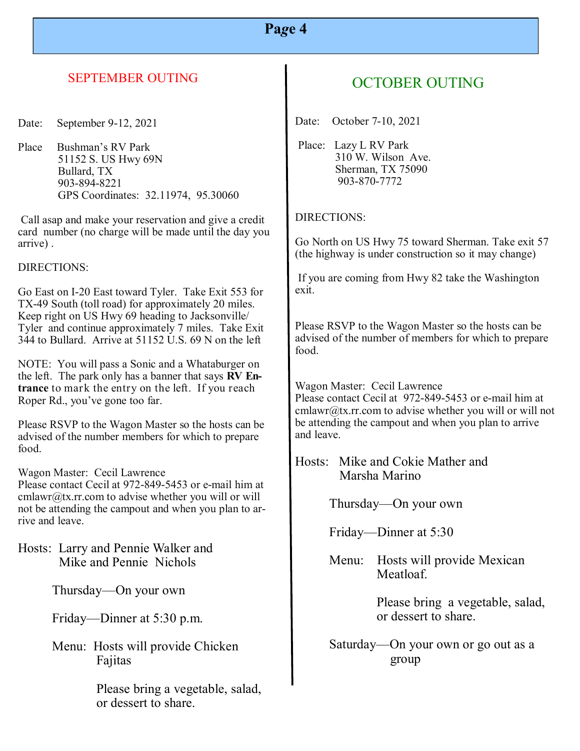# **Pa***g***e 4**

### SEPTEMBER OUTING

Date: September 9-12, 2021

Place Bushman's RV Park 51152 S. US Hwy 69N Bullard, TX 903-894-8221 GPS Coordinates: 32.11974, 95.30060

Call asap and make your reservation and give a credit card number (no charge will be made until the day you arrive) .

DIRECTIONS:

Go East on I-20 East toward Tyler. Take Exit 553 for TX-49 South (toll road) for approximately 20 miles. Keep right on US Hwy 69 heading to Jacksonville/ Tyler and continue approximately 7 miles. Take Exit 344 to Bullard. Arrive at 51152 U.S. 69 N on the left

NOTE: You will pass a Sonic and a Whataburger on the left. The park only has a banner that says **RV Entrance** to mark the entry on the left. If you reach Roper Rd., you've gone too far.

Please RSVP to the Wagon Master so the hosts can be advised of the number members for which to prepare food.

Wagon Master: Cecil Lawrence

Please contact Cecil at 972-849-5453 or e-mail him at  $cmlawr@tx.rr.com$  to advise whether you will or will not be attending the campout and when you plan to arrive and leave.

Hosts: Larry and Pennie Walker and Mike and Pennie Nichols

Thursday—On your own

Friday—Dinner at 5:30 p.m.

Menu: Hosts will provide Chicken Fajitas

> Please bring a vegetable, salad, or dessert to share.

# OCTOBER OUTING

Date: October 7-10, 2021

Place: Lazy L RV Park 310 W. Wilson Ave. Sherman, TX 75090 903-870-7772

#### DIRECTIONS:

Go North on US Hwy 75 toward Sherman. Take exit 57 (the highway is under construction so it may change)

If you are coming from Hwy 82 take the Washington exit.

Please RSVP to the Wagon Master so the hosts can be advised of the number of members for which to prepare food.

Wagon Master: Cecil Lawrence Please contact Cecil at 972-849-5453 or e-mail him at cmlawr@tx.rr.com to advise whether you will or will not be attending the campout and when you plan to arrive and leave.

Hosts: Mike and Cokie Mather and Marsha Marino

Thursday—On your own

Friday—Dinner at 5:30

Menu: Hosts will provide Mexican Meatloaf.

> Please bring a vegetable, salad, or dessert to share.

Saturday—On your own or go out as a group